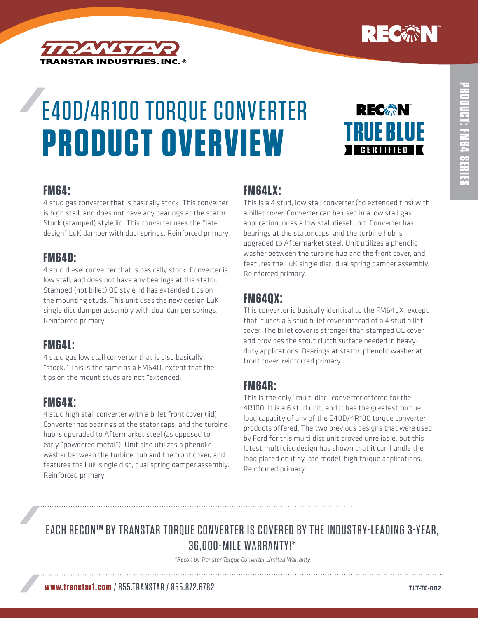



# E4OD/4R100 Torque Converter **Product Overview**



#### **FM64:**

4 stud gas converter that is basically stock. This converter is high stall, and does not have any bearings at the stator. Stock (stamped) style lid. This converter uses the "late design" LuK damper with dual springs. Reinforced primary.

#### **FM64D:**

4 stud diesel converter that is basically stock. Converter is low stall, and does not have any bearings at the stator. Stamped (not billet) OE style lid has extended tips on the mounting studs. This unit uses the new design LuK single disc damper assembly with dual damper springs. Reinforced primary.

# **FM64L:**

4 stud gas low stall converter that is also basically "stock." This is the same as a FM64D, except that the tips on the mount studs are not "extended."

# **FM64X:**

4 stud high stall converter with a billet front cover (lid). Converter has bearings at the stator caps, and the turbine hub is upgraded to Aftermarket steel (as opposed to early "powdered metal"). Unit also utilizes a phenolic washer between the turbine hub and the front cover, and features the LuK single disc, dual spring damper assembly. Reinforced primary.

#### **FM64LX:**

This is a 4 stud, low stall converter (no extended tips) with a billet cover. Converter can be used in a low stall gas application, or as a low stall diesel unit. Converter has bearings at the stator caps, and the turbine hub is upgraded to Aftermarket steel. Unit utilizes a phenolic washer between the turbine hub and the front cover, and features the LuK single disc, dual spring damper assembly. Reinforced primary.

# **FM64QX:**

This converter is basically identical to the FM64LX, except that it uses a 6 stud billet cover instead of a 4 stud billet cover. The billet cover is stronger than stamped OE cover, and provides the stout clutch surface needed in heavyduty applications. Bearings at stator, phenolic washer at front cover, reinforced primary.

#### **FM64R:**

This is the only "multi disc" converter offered for the 4R100. It is a 6 stud unit, and it has the greatest torque load capacity of any of the E40D/4R100 torque converter products offered. The two previous designs that were used by Ford for this multi disc unit proved unreliable, but this latest multi disc design has shown that it can handle the load placed on it by late model, high torque applications. Reinforced primary.

# EACH RECON™ BY TRANSTAR TORQUE CONVERTER IS COVERED BY THE INDUSTRY-LEADING 3-YEAR, 36,000-Mile Warranty!\*

*\*Recon by Transtar Torque Converter Limited Warranty*